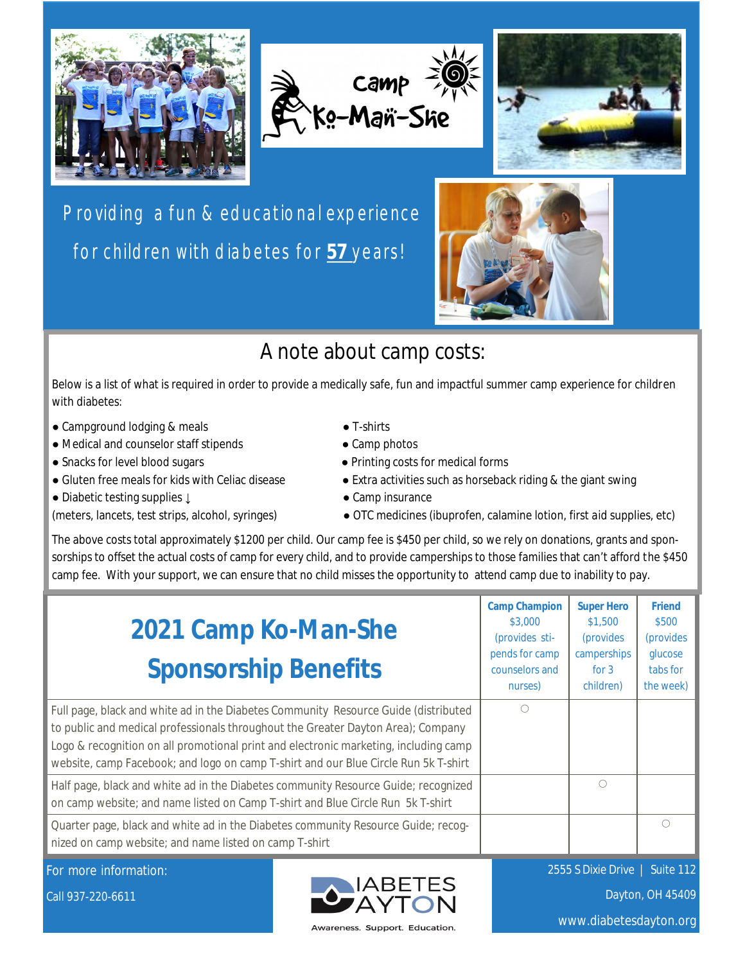





Providing a fun & educational experience for children with diabetes for **57** years!



## A note about camp costs:

Below is a list of what is required in order to provide a medically safe, fun and impactful summer camp experience for children with diabetes:

- Campground lodging & meals T-shirts
- Medical and counselor staff stipends Camp photos
- 
- 
- Diabetic testing supplies ↓ Camp insurance
- 
- 
- 
- Snacks for level blood sugars Printing costs for medical forms
- Gluten free meals for kids with Celiac disease The Extra activities such as horseback riding & the giant swing
	-
- (meters, lancets, test strips, alcohol, syringes) OTC medicines (ibuprofen, calamine lotion, first aid supplies, etc)

The above costs total approximately \$1200 per child. Our camp fee is \$450 per child, so we rely on donations, grants and sponsorships to offset the actual costs of camp for every child, and to provide camperships to those families that can't afford the \$450 camp fee. With your support, we can ensure that no child misses the opportunity to attend camp due to inability to pay.

| 2021 Camp Ko-Man-She<br><b>Sponsorship Benefits</b>                                                                                                                                                                                                                                                                                                    | <b>Camp Champion</b><br>\$3,000<br>(provides sti-<br>pends for camp<br>counselors and<br>nurses) | <b>Super Hero</b><br>\$1,500<br><i>(provides)</i><br>camperships<br>for $3$<br>children) | <b>Friend</b><br><b>S500</b><br><i>(provides</i><br>glucose<br>tabs for<br>the week) |
|--------------------------------------------------------------------------------------------------------------------------------------------------------------------------------------------------------------------------------------------------------------------------------------------------------------------------------------------------------|--------------------------------------------------------------------------------------------------|------------------------------------------------------------------------------------------|--------------------------------------------------------------------------------------|
| Full page, black and white ad in the Diabetes Community Resource Guide (distributed<br>to public and medical professionals throughout the Greater Dayton Area); Company<br>Logo & recognition on all promotional print and electronic marketing, including camp<br>website, camp Facebook; and logo on camp T-shirt and our Blue Circle Run 5k T-shirt | $\bigcirc$                                                                                       |                                                                                          |                                                                                      |
| Half page, black and white ad in the Diabetes community Resource Guide; recognized<br>on camp website; and name listed on Camp T-shirt and Blue Circle Run 5k T-shirt                                                                                                                                                                                  |                                                                                                  | $\bigcirc$                                                                               |                                                                                      |
| Quarter page, black and white ad in the Diabetes community Resource Guide; recog-<br>nized on camp website; and name listed on camp T-shirt                                                                                                                                                                                                            |                                                                                                  |                                                                                          | $\bigcap$                                                                            |

For more information:

Call 937-220-6611



2555 S Dixie Drive | Suite 112 Dayton, OH 45409

www.diabetesdayton.org